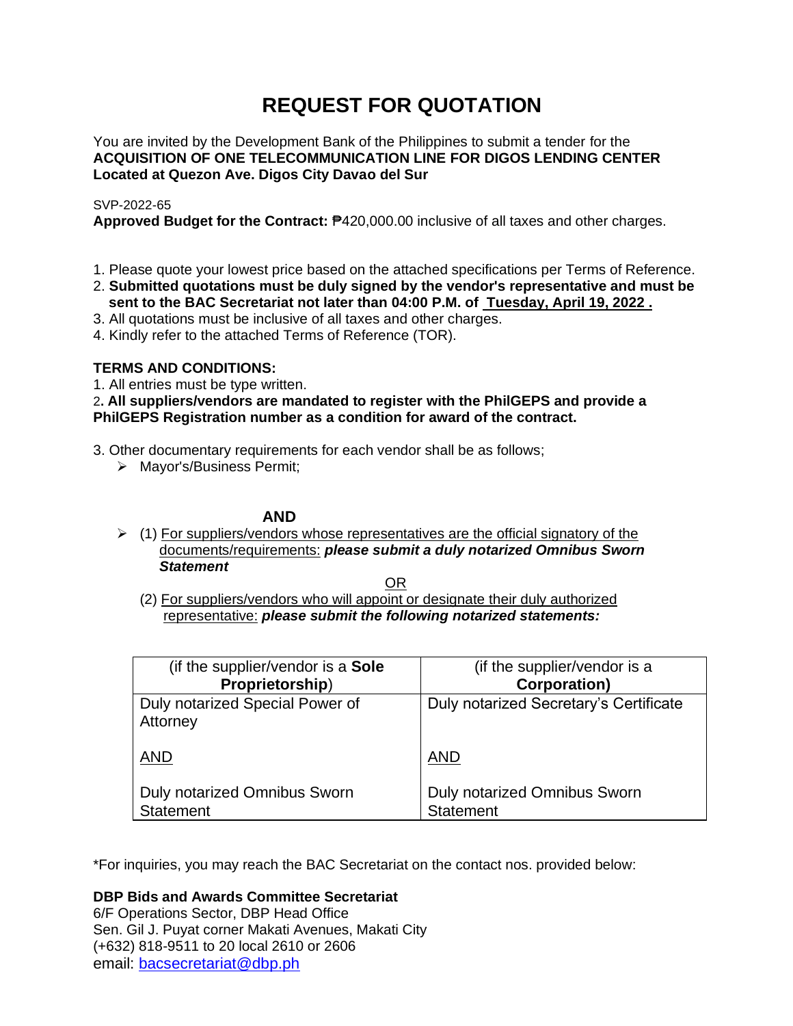# **REQUEST FOR QUOTATION**

You are invited by the Development Bank of the Philippines to submit a tender for the **ACQUISITION OF ONE TELECOMMUNICATION LINE FOR DIGOS LENDING CENTER Located at Quezon Ave. Digos City Davao del Sur**

## SVP-2022-65

**Approved Budget for the Contract:** ₱420,000.00 inclusive of all taxes and other charges.

- 1. Please quote your lowest price based on the attached specifications per Terms of Reference.
- 2. **Submitted quotations must be duly signed by the vendor's representative and must be sent to the BAC Secretariat not later than 04:00 P.M. of Tuesday, April 19, 2022 .**
- 3. All quotations must be inclusive of all taxes and other charges.
- 4. Kindly refer to the attached Terms of Reference (TOR).

# **TERMS AND CONDITIONS:**

1. All entries must be type written.

# 2**. All suppliers/vendors are mandated to register with the PhilGEPS and provide a PhilGEPS Registration number as a condition for award of the contract.**

- 3. Other documentary requirements for each vendor shall be as follows;
	- ➢ Mayor's/Business Permit;

# **AND**

 $\geq$  (1) For suppliers/vendors whose representatives are the official signatory of the documents/requirements: *please submit a duly notarized Omnibus Sworn Statement*

<u>OR Starting and the Starting OR Starting</u>

(2) For suppliers/vendors who will appoint or designate their duly authorized representative: *please submit the following notarized statements:*

| (if the supplier/vendor is a Sole                       | (if the supplier/vendor is a                     |
|---------------------------------------------------------|--------------------------------------------------|
| Proprietorship)                                         | <b>Corporation</b> )                             |
| Duly notarized Special Power of<br>Attorney             | Duly notarized Secretary's Certificate           |
| <b>AND</b>                                              | <b>AND</b>                                       |
| <b>Duly notarized Omnibus Sworn</b><br><b>Statement</b> | Duly notarized Omnibus Sworn<br><b>Statement</b> |

\*For inquiries, you may reach the BAC Secretariat on the contact nos. provided below:

**DBP Bids and Awards Committee Secretariat**  6/F Operations Sector, DBP Head Office

Sen. Gil J. Puyat corner Makati Avenues, Makati City (+632) 818-9511 to 20 local 2610 or 2606 email: [bacsecretariat@dbp.ph](mailto:bacsecretariat@dbp.ph)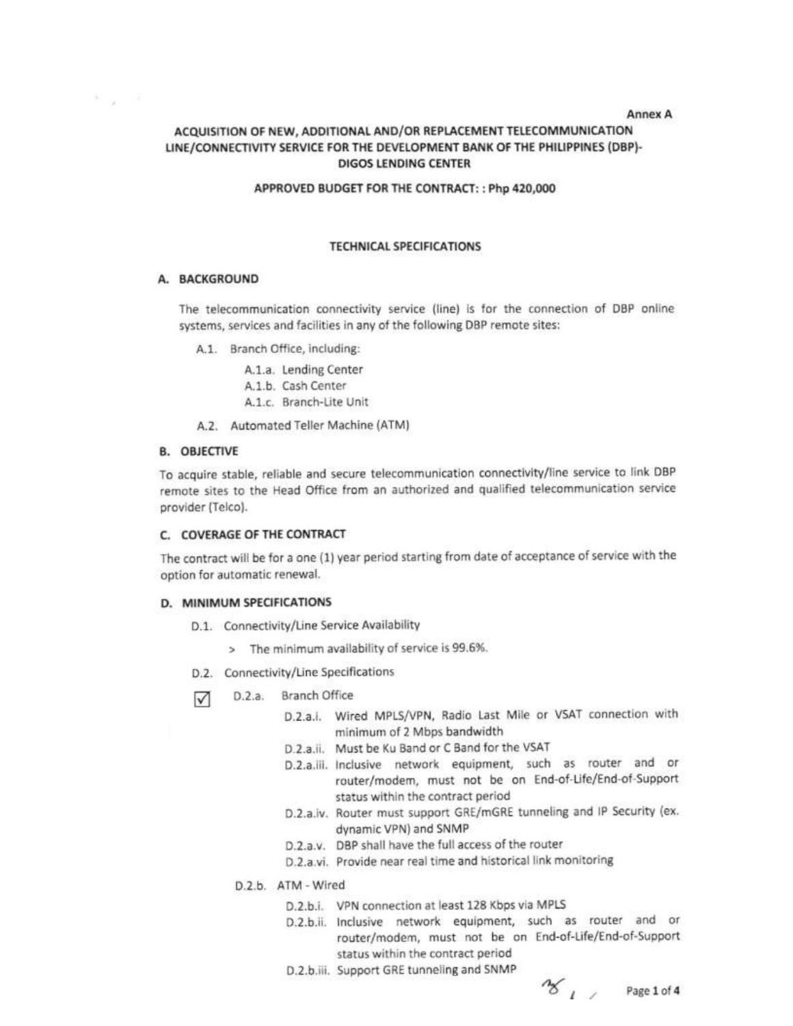**Annex A** 

# ACQUISITION OF NEW, ADDITIONAL AND/OR REPLACEMENT TELECOMMUNICATION LINE/CONNECTIVITY SERVICE FOR THE DEVELOPMENT BANK OF THE PHILIPPINES (DBP)-DIGOS LENDING CENTER

#### APPROVED BUDGET FOR THE CONTRACT:: Php 420,000

#### **TECHNICAL SPECIFICATIONS**

## A. BACKGROUND

 $\kappa_{\rm max} = 50$ 

The telecommunication connectivity service (line) is for the connection of DBP online systems, services and facilities in any of the following DBP remote sites:

A.1. Branch Office, including:

A.1.a. Lending Center A.1.b. Cash Center

- A.1.c. Branch-Lite Unit
- A.2. Automated Teller Machine (ATM)

## **B. OBJECTIVE**

To acquire stable, reliable and secure telecommunication connectivity/line service to link DBP remote sites to the Head Office from an authorized and qualified telecommunication service provider (Telco).

#### C. COVERAGE OF THE CONTRACT

The contract will be for a one (1) year period starting from date of acceptance of service with the option for automatic renewal.

#### D. MINIMUM SPECIFICATIONS

- D.1. Connectivity/Line Service Availability
	- > The minimum availability of service is 99.6%.
- D.2. Connectivity/Line Specifications
- D.2.a. Branch Office  $\triangledown$ 
	- D.2.a.i. Wired MPLS/VPN, Radio Last Mile or VSAT connection with minimum of 2 Mbps bandwidth
	- D.2.a.ii. Must be Ku Band or C Band for the VSAT
	- D.2.a.iii. Inclusive network equipment, such as router and or router/modem, must not be on End-of-Life/End-of-Support status within the contract period
	- D.2.a.iv. Router must support GRE/mGRE tunneling and IP Security (ex. dynamic VPN) and SNMP
	- D.2.a.v. DBP shall have the full access of the router
	- D.2.a.vi. Provide near real time and historical link monitoring
	- D.2.b. ATM Wired
		- D.2.b.i. VPN connection at least 128 Kbps via MPLS
		- D.2.b.ii. Inclusive network equipment, such as router and or router/modem, must not be on End-of-Life/End-of-Support status within the contract period
		- D.2.b.iii. Support GRE tunneling and SNMP

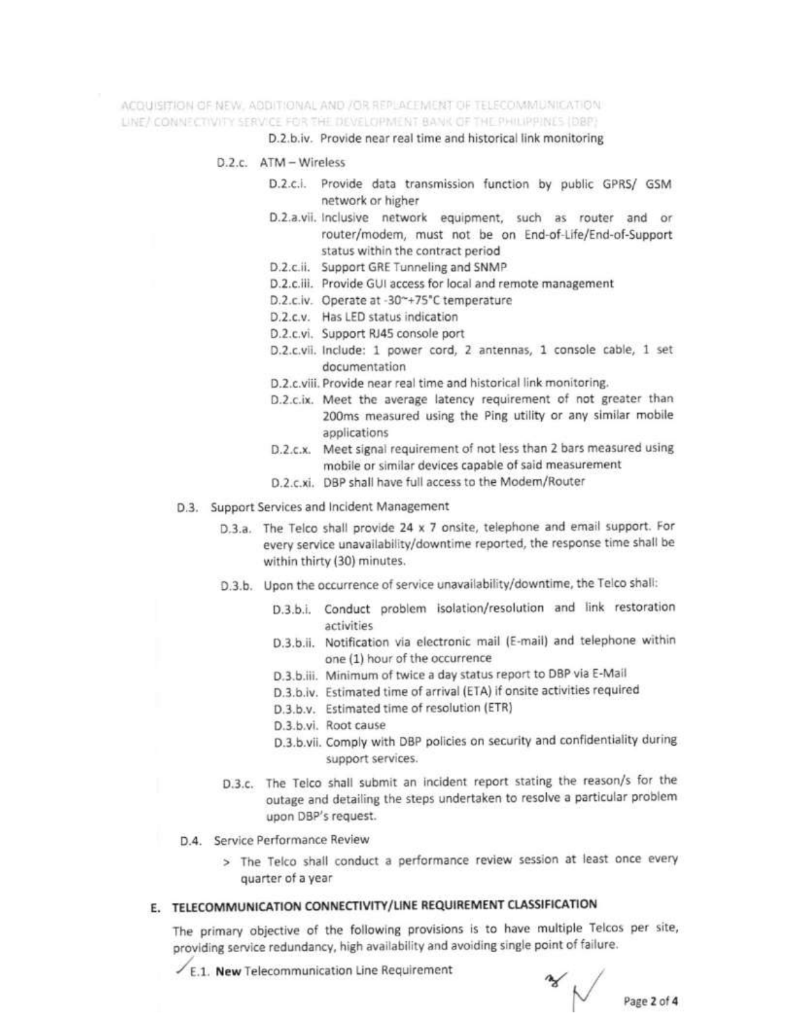ACOUISITION OF NEW, ADDITIONAL AND /OR REPLACEMENT OF TELECOMMUNICATION. LINE/ CONNECTIVITY SERVICE FOR THE DEVELOPMENT BANK OF THE PHILIPPINES (DBP)

D.2.b.iv. Provide near real time and historical link monitoring

- $D.2c$  ATM Wireless
	- D.2.c.i. Provide data transmission function by public GPRS/ GSM network or higher
	- D.2.a.vii. Inclusive network equipment, such as router and or router/modem, must not be on End-of-Life/End-of-Support status within the contract period
	- D.2.c.ii. Support GRE Tunneling and SNMP
	- D.2.c.iii. Provide GUI access for local and remote management
	- D.2.c.iv. Operate at -30~+75°C temperature
	- D.2.c.v. Has LED status indication
	- D.2.c.vi. Support RJ45 console port
	- D.2.c.vii. Include: 1 power cord, 2 antennas, 1 console cable, 1 set documentation
	- D.2.c.viii. Provide near real time and historical link monitoring.
	- D.2.c.ix. Meet the average latency requirement of not greater than 200ms measured using the Ping utility or any similar mobile applications
	- D.2.c.x. Meet signal requirement of not less than 2 bars measured using mobile or similar devices capable of said measurement
	- D.2.c.xi. DBP shall have full access to the Modem/Router
- D.3. Support Services and Incident Management
	- D.3.a. The Telco shall provide 24 x 7 onsite, telephone and email support. For every service unavailability/downtime reported, the response time shall be within thirty (30) minutes.
	- D.3.b. Upon the occurrence of service unavailability/downtime, the Telco shall:
		- D.3.b.i. Conduct problem isolation/resolution and link restoration activities
		- D.3.b.ii. Notification via electronic mail (E-mail) and telephone within one (1) hour of the occurrence
		- D.3.b.iii. Minimum of twice a day status report to DBP via E-Mail
		- D.3.b.iv. Estimated time of arrival (ETA) if onsite activities required
		- D.3.b.v. Estimated time of resolution (ETR)
		- D.3.b.vi. Root cause
		- D.3.b.vii. Comply with DBP policies on security and confidentiality during support services.
	- D.3.c. The Telco shall submit an incident report stating the reason/s for the outage and detailing the steps undertaken to resolve a particular problem upon DBP's request.
- D.4. Service Performance Review
	- > The Telco shall conduct a performance review session at least once every quarter of a year

# E. TELECOMMUNICATION CONNECTIVITY/LINE REQUIREMENT CLASSIFICATION

The primary objective of the following provisions is to have multiple Telcos per site, providing service redundancy, high availability and avoiding single point of failure.

 $\angle$  E.1. New Telecommunication Line Requirement

 $\sim$  Page 2 of 4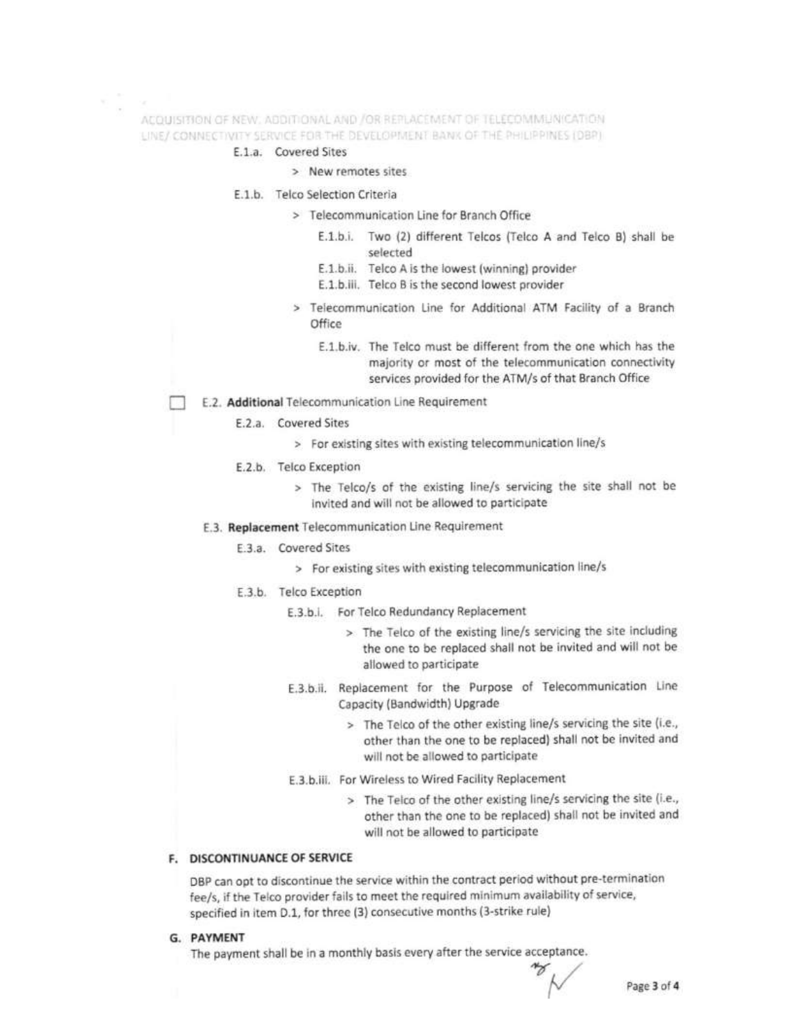ACQUISITION OF NEW, ADDITIONAL AND /OR REPLACEMENT OF TELECOMMUNICATION. LINE/ CONNECTIVITY SERVICE FOR THE DEVELOPMENT BANK OF THE PHILIPPINES (DBP)

## E.1.a. Covered Sites

- > New remotes sites
- E.1.b. Telco Selection Criteria
	- > Telecommunication Line for Branch Office
		- E.1.b.i. Two (2) different Telcos (Telco A and Telco B) shall be selected
		- E.1.b.ii. Telco A is the lowest (winning) provider
		- E.1.b.iii. Telco B is the second lowest provider
	- > Telecommunication Line for Additional ATM Facility of a Branch Office
		- E.1.b.iv. The Telco must be different from the one which has the majority or most of the telecommunication connectivity services provided for the ATM/s of that Branch Office
- E.2. Additional Telecommunication Line Requirement
	- E.2.a. Covered Sites
		- > For existing sites with existing telecommunication line/s
	- E.2.b. Telco Exception
		- > The Telco/s of the existing line/s servicing the site shall not be invited and will not be allowed to participate
	- E.3. Replacement Telecommunication Line Requirement
		- E.3.a. Covered Sites
			- > For existing sites with existing telecommunication line/s
		- E.3.b. Telco Exception
			- E.3.b.i. For Telco Redundancy Replacement
				- > The Telco of the existing line/s servicing the site including the one to be replaced shall not be invited and will not be allowed to participate
			- E.3.b.ii. Replacement for the Purpose of Telecommunication Line Capacity (Bandwidth) Upgrade
				- > The Telco of the other existing line/s servicing the site (i.e., other than the one to be replaced) shall not be invited and will not be allowed to participate
			- E.3.b.iii. For Wireless to Wired Facility Replacement
				- > The Telco of the other existing line/s servicing the site (i.e., other than the one to be replaced) shall not be invited and will not be allowed to participate

## **F. DISCONTINUANCE OF SERVICE**

DBP can opt to discontinue the service within the contract period without pre-termination fee/s, if the Telco provider fails to meet the required minimum availability of service, specified in item D.1, for three (3) consecutive months (3-strike rule)

G. PAYMENT

The payment shall be in a monthly basis every after the service acceptance.